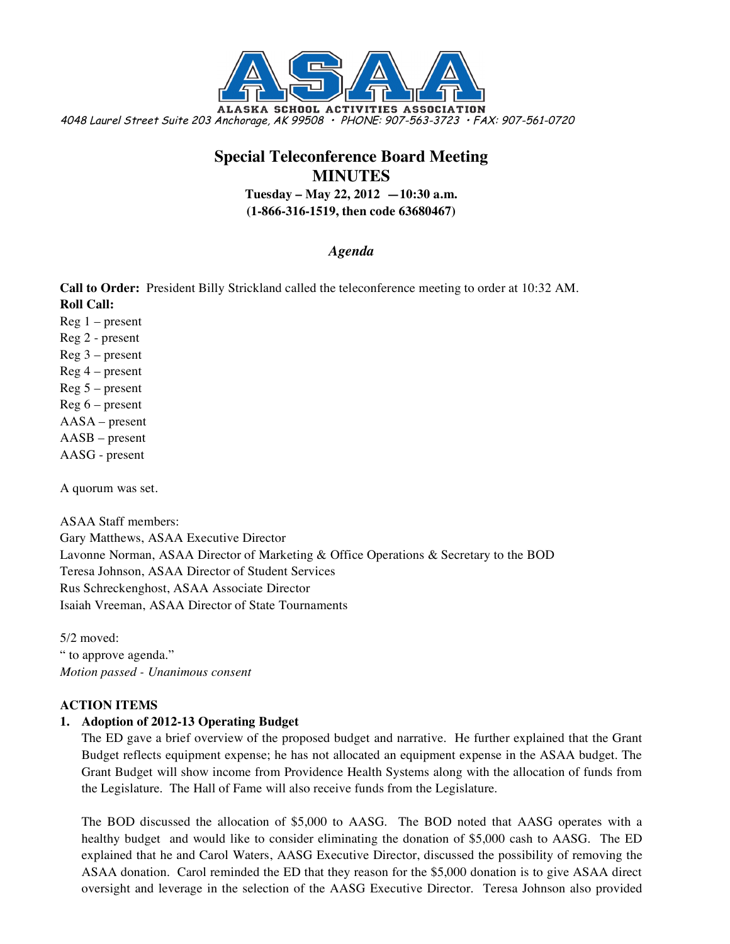

# **Special Teleconference Board Meeting MINUTES Tuesday – May 22, 2012 —10:30 a.m.**

**(1-866-316-1519, then code 63680467)**

## *Agenda*

**Call to Order:** President Billy Strickland called the teleconference meeting to order at 10:32 AM. **Roll Call:**

- $Reg 1 present$
- Reg 2 present
- Reg 3 present
- Reg 4 present
- Reg 5 present
- Reg 6 present
- AASA present
- AASB present
- AASG present

A quorum was set.

ASAA Staff members: Gary Matthews, ASAA Executive Director Lavonne Norman, ASAA Director of Marketing & Office Operations & Secretary to the BOD Teresa Johnson, ASAA Director of Student Services Rus Schreckenghost, ASAA Associate Director Isaiah Vreeman, ASAA Director of State Tournaments

5/2 moved: " to approve agenda." *Motion passed - Unanimous consent*

## **ACTION ITEMS**

## **1. Adoption of 2012-13 Operating Budget**

The ED gave a brief overview of the proposed budget and narrative. He further explained that the Grant Budget reflects equipment expense; he has not allocated an equipment expense in the ASAA budget. The Grant Budget will show income from Providence Health Systems along with the allocation of funds from the Legislature. The Hall of Fame will also receive funds from the Legislature.

The BOD discussed the allocation of \$5,000 to AASG. The BOD noted that AASG operates with a healthy budget and would like to consider eliminating the donation of \$5,000 cash to AASG. The ED explained that he and Carol Waters, AASG Executive Director, discussed the possibility of removing the ASAA donation. Carol reminded the ED that they reason for the \$5,000 donation is to give ASAA direct oversight and leverage in the selection of the AASG Executive Director. Teresa Johnson also provided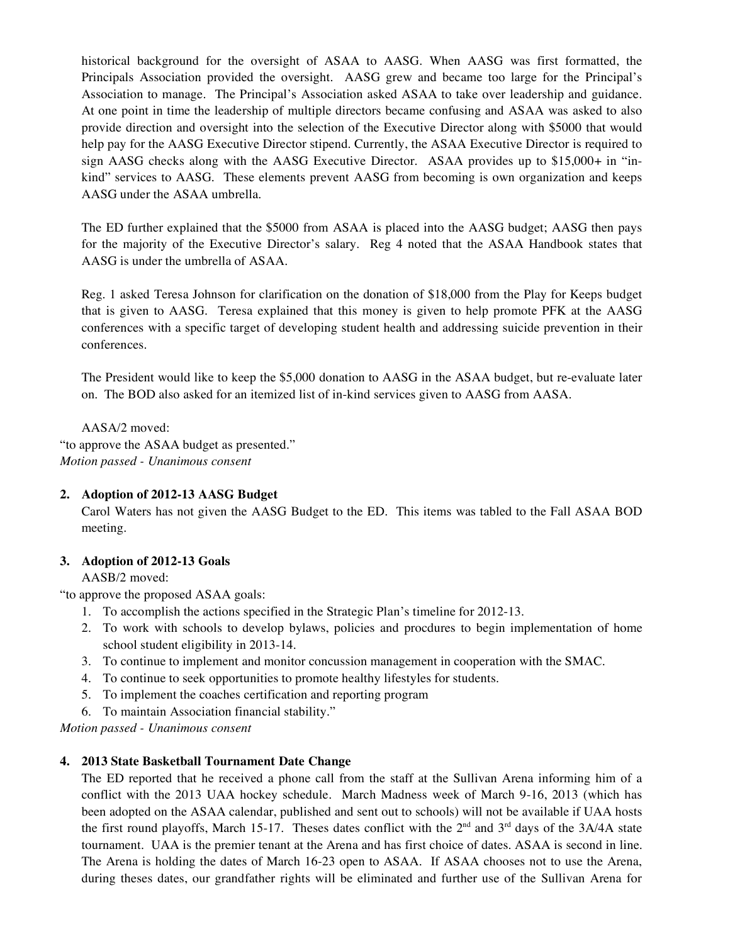historical background for the oversight of ASAA to AASG. When AASG was first formatted, the Principals Association provided the oversight. AASG grew and became too large for the Principal's Association to manage. The Principal's Association asked ASAA to take over leadership and guidance. At one point in time the leadership of multiple directors became confusing and ASAA was asked to also provide direction and oversight into the selection of the Executive Director along with \$5000 that would help pay for the AASG Executive Director stipend. Currently, the ASAA Executive Director is required to sign AASG checks along with the AASG Executive Director. ASAA provides up to \$15,000+ in "inkind" services to AASG. These elements prevent AASG from becoming is own organization and keeps AASG under the ASAA umbrella.

The ED further explained that the \$5000 from ASAA is placed into the AASG budget; AASG then pays for the majority of the Executive Director's salary. Reg 4 noted that the ASAA Handbook states that AASG is under the umbrella of ASAA.

Reg. 1 asked Teresa Johnson for clarification on the donation of \$18,000 from the Play for Keeps budget that is given to AASG. Teresa explained that this money is given to help promote PFK at the AASG conferences with a specific target of developing student health and addressing suicide prevention in their conferences.

The President would like to keep the \$5,000 donation to AASG in the ASAA budget, but re-evaluate later on. The BOD also asked for an itemized list of in-kind services given to AASG from AASA.

AASA/2 moved:

"to approve the ASAA budget as presented." *Motion passed - Unanimous consent*

#### **2. Adoption of 2012-13 AASG Budget**

Carol Waters has not given the AASG Budget to the ED. This items was tabled to the Fall ASAA BOD meeting.

## **3. Adoption of 2012-13 Goals**

AASB/2 moved:

"to approve the proposed ASAA goals:

- 1. To accomplish the actions specified in the Strategic Plan's timeline for 2012-13.
- 2. To work with schools to develop bylaws, policies and procdures to begin implementation of home school student eligibility in 2013-14.
- 3. To continue to implement and monitor concussion management in cooperation with the SMAC.
- 4. To continue to seek opportunities to promote healthy lifestyles for students.
- 5. To implement the coaches certification and reporting program
- 6. To maintain Association financial stability."

*Motion passed - Unanimous consent*

#### **4. 2013 State Basketball Tournament Date Change**

The ED reported that he received a phone call from the staff at the Sullivan Arena informing him of a conflict with the 2013 UAA hockey schedule. March Madness week of March 9-16, 2013 (which has been adopted on the ASAA calendar, published and sent out to schools) will not be available if UAA hosts the first round playoffs, March 15-17. Theses dates conflict with the  $2<sup>nd</sup>$  and  $3<sup>rd</sup>$  days of the 3A/4A state tournament. UAA is the premier tenant at the Arena and has first choice of dates. ASAA is second in line. The Arena is holding the dates of March 16-23 open to ASAA. If ASAA chooses not to use the Arena, during theses dates, our grandfather rights will be eliminated and further use of the Sullivan Arena for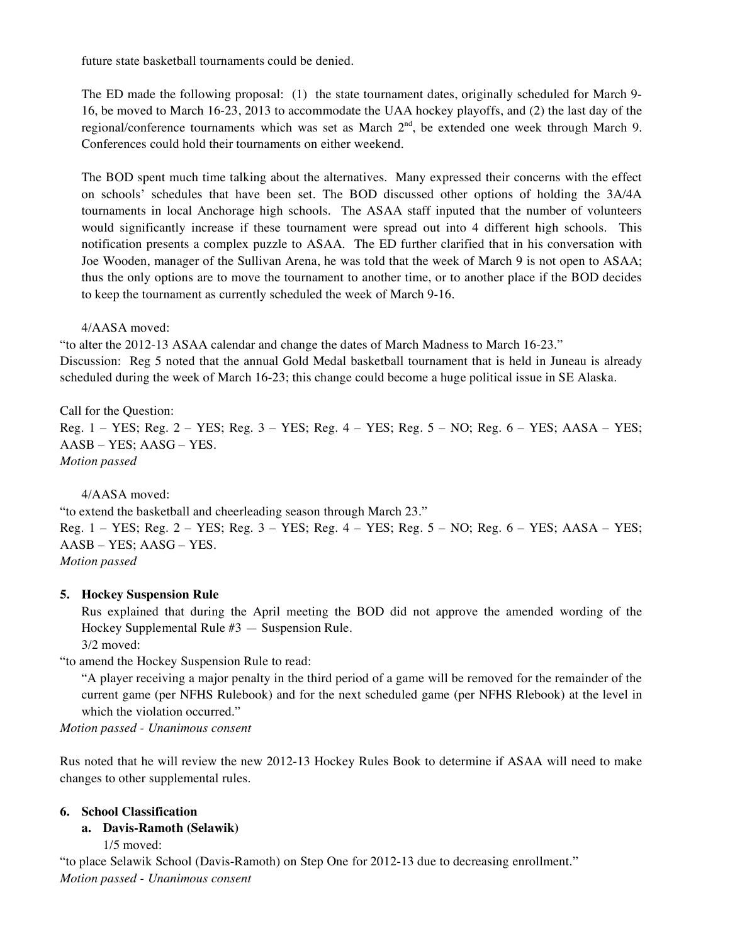future state basketball tournaments could be denied.

The ED made the following proposal: (1) the state tournament dates, originally scheduled for March 9- 16, be moved to March 16-23, 2013 to accommodate the UAA hockey playoffs, and (2) the last day of the regional/conference tournaments which was set as March  $2<sup>nd</sup>$ , be extended one week through March 9. Conferences could hold their tournaments on either weekend.

The BOD spent much time talking about the alternatives. Many expressed their concerns with the effect on schools' schedules that have been set. The BOD discussed other options of holding the 3A/4A tournaments in local Anchorage high schools. The ASAA staff inputed that the number of volunteers would significantly increase if these tournament were spread out into 4 different high schools. This notification presents a complex puzzle to ASAA. The ED further clarified that in his conversation with Joe Wooden, manager of the Sullivan Arena, he was told that the week of March 9 is not open to ASAA; thus the only options are to move the tournament to another time, or to another place if the BOD decides to keep the tournament as currently scheduled the week of March 9-16.

4/AASA moved:

"to alter the 2012-13 ASAA calendar and change the dates of March Madness to March 16-23." Discussion: Reg 5 noted that the annual Gold Medal basketball tournament that is held in Juneau is already scheduled during the week of March 16-23; this change could become a huge political issue in SE Alaska.

Call for the Question: Reg. 1 – YES; Reg. 2 – YES; Reg. 3 – YES; Reg. 4 – YES; Reg. 5 – NO; Reg. 6 – YES; AASA – YES; AASB – YES; AASG – YES. *Motion passed*

4/AASA moved:

"to extend the basketball and cheerleading season through March 23." Reg. 1 – YES; Reg. 2 – YES; Reg. 3 – YES; Reg. 4 – YES; Reg. 5 – NO; Reg. 6 – YES; AASA – YES; AASB – YES; AASG – YES. *Motion passed*

## **5. Hockey Suspension Rule**

Rus explained that during the April meeting the BOD did not approve the amended wording of the Hockey Supplemental Rule #3 — Suspension Rule.

3/2 moved:

"to amend the Hockey Suspension Rule to read:

"A player receiving a major penalty in the third period of a game will be removed for the remainder of the current game (per NFHS Rulebook) and for the next scheduled game (per NFHS Rlebook) at the level in which the violation occurred."

*Motion passed - Unanimous consent*

Rus noted that he will review the new 2012-13 Hockey Rules Book to determine if ASAA will need to make changes to other supplemental rules.

#### **6. School Classification**

#### **a. Davis-Ramoth (Selawik)**

1/5 moved:

"to place Selawik School (Davis-Ramoth) on Step One for 2012-13 due to decreasing enrollment." *Motion passed - Unanimous consent*